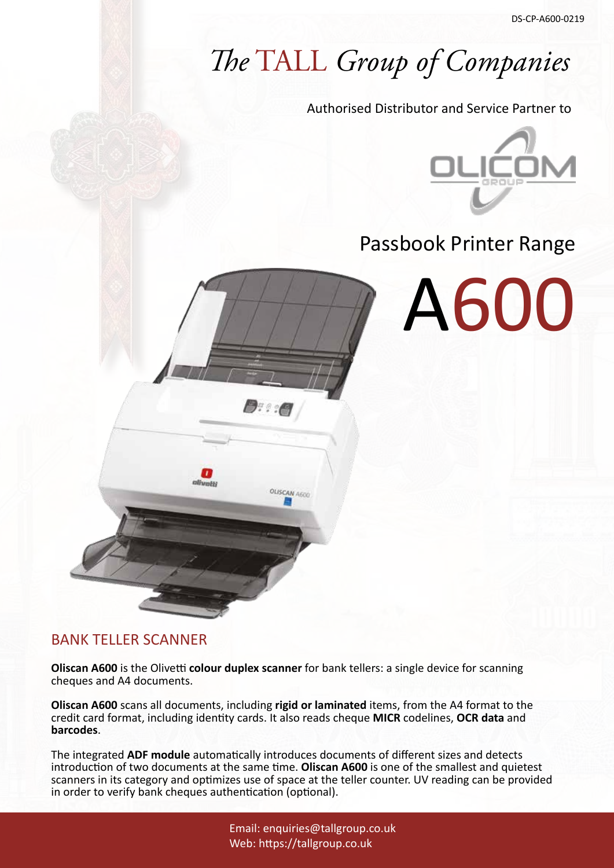# *The* TALL *Group of Companies*

Authorised Distributor and Service Partner to



# Passbook Printer Range



### BANK TELLER SCANNER

**Oliscan A600** is the Olivetti **colour duplex scanner** for bank tellers: a single device for scanning cheques and A4 documents.

1999.

**OLISCAN 4600** 

**Oliscan A600** scans all documents, including **rigid or laminated** items, from the A4 format to the credit card format, including identity cards. It also reads cheque **MICR** codelines, **OCR data** and **barcodes**.

The integrated **ADF module** automatically introduces documents of different sizes and detects introduction of two documents at the same time. **Oliscan A600** is one of the smallest and quietest scanners in its category and optimizes use of space at the teller counter. UV reading can be provided in order to verify bank cheques authentication (optional).